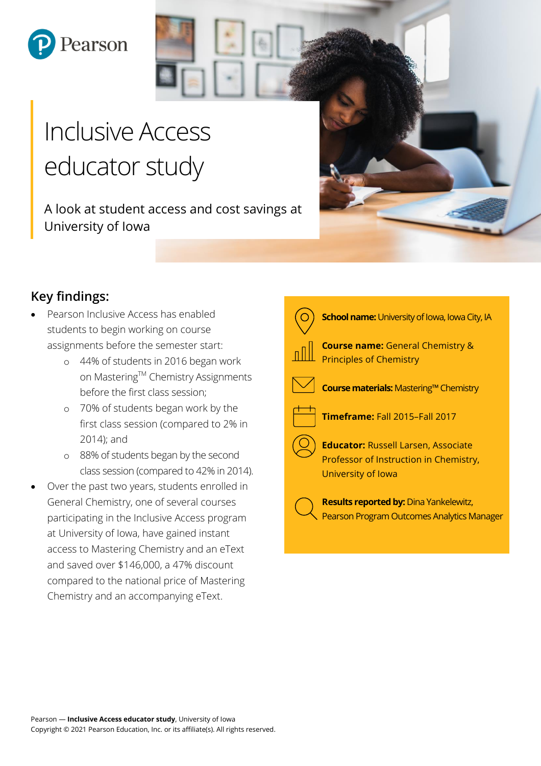

# Inclusive Access educator study

A look at student access and cost savings at University of Iowa



- Pearson Inclusive Access has enabled students to begin working on course assignments before the semester start:
	- o 44% of students in 2016 began work on Mastering™ Chemistry Assignments before the first class session;
	- o 70% of students began work by the first class session (compared to 2% in 2014); and
	- o 88% of students began by the second class session (compared to 42% in 2014).
- Over the past two years, students enrolled in General Chemistry, one of several courses participating in the Inclusive Access program at University of Iowa, have gained instant access to Mastering Chemistry and an eText and saved over \$146,000, a 47% discount compared to the national price of Mastering Chemistry and an accompanying eText.

| <b>School name:</b> University of Iowa, Iowa City, IA                                                      |
|------------------------------------------------------------------------------------------------------------|
| <b>Course name:</b> General Chemistry &<br><b>Principles of Chemistry</b>                                  |
| Course materials: Mastering™ Chemistry                                                                     |
| Timeframe: Fall 2015-Fall 2017                                                                             |
| <b>Educator: Russell Larsen, Associate</b><br>Professor of Instruction in Chemistry,<br>University of Iowa |
| <b>Results reported by: Dina Yankelewitz,</b><br>Pearson Program Outcomes Analytics Manager                |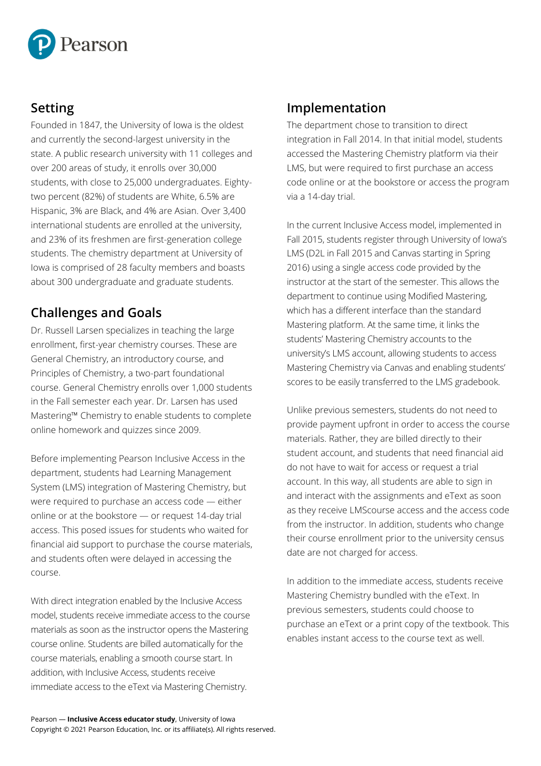

## **Setting**

Founded in 1847, the University of Iowa is the oldest and currently the second-largest university in the state. A public research university with 11 colleges and over 200 areas of study, it enrolls over 30,000 students, with close to 25,000 undergraduates. Eightytwo percent (82%) of students are White, 6.5% are Hispanic, 3% are Black, and 4% are Asian. Over 3,400 international students are enrolled at the university, and 23% of its freshmen are first-generation college students. The chemistry department at University of Iowa is comprised of 28 faculty members and boasts about 300 undergraduate and graduate students.

## **Challenges and Goals**

Dr. Russell Larsen specializes in teaching the large enrollment, first-year chemistry courses. These are General Chemistry, an introductory course, and Principles of Chemistry, a two-part foundational course. General Chemistry enrolls over 1,000 students in the Fall semester each year. Dr. Larsen has used Mastering™ Chemistry to enable students to complete online homework and quizzes since 2009.

Before implementing Pearson Inclusive Access in the department, students had Learning Management System (LMS) integration of Mastering Chemistry, but were required to purchase an access code — either online or at the bookstore — or request 14-day trial access. This posed issues for students who waited for financial aid support to purchase the course materials, and students often were delayed in accessing the course.

With direct integration enabled by the Inclusive Access model, students receive immediate access to the course materials as soon as the instructor opens the Mastering course online. Students are billed automatically for the course materials, enabling a smooth course start. In addition, with Inclusive Access, students receive immediate access to the eText via Mastering Chemistry.

# **Implementation**

The department chose to transition to direct integration in Fall 2014. In that initial model, students accessed the Mastering Chemistry platform via their LMS, but were required to first purchase an access code online or at the bookstore or access the program via a 14-day trial.

In the current Inclusive Access model, implemented in Fall 2015, students register through University of Iowa's LMS (D2L in Fall 2015 and Canvas starting in Spring 2016) using a single access code provided by the instructor at the start of the semester. This allows the department to continue using Modified Mastering, which has a different interface than the standard Mastering platform. At the same time, it links the students' Mastering Chemistry accounts to the university's LMS account, allowing students to access Mastering Chemistry via Canvas and enabling students' scores to be easily transferred to the LMS gradebook.

Unlike previous semesters, students do not need to provide payment upfront in order to access the course materials. Rather, they are billed directly to their student account, and students that need financial aid do not have to wait for access or request a trial account. In this way, all students are able to sign in and interact with the assignments and eText as soon as they receive LMScourse access and the access code from the instructor. In addition, students who change their course enrollment prior to the university census date are not charged for access.

In addition to the immediate access, students receive Mastering Chemistry bundled with the eText. In previous semesters, students could choose to purchase an eText or a print copy of the textbook. This enables instant access to the course text as well.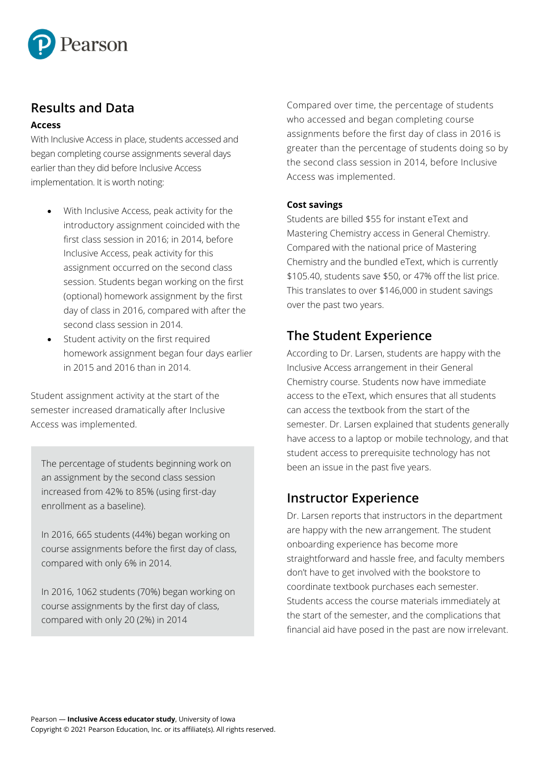

## **Results and Data**

#### **Access**

With Inclusive Access in place, students accessed and began completing course assignments several days earlier than they did before Inclusive Access implementation. It is worth noting:

- With Inclusive Access, peak activity for the introductory assignment coincided with the first class session in 2016; in 2014, before Inclusive Access, peak activity for this assignment occurred on the second class session. Students began working on the first (optional) homework assignment by the first day of class in 2016, compared with after the second class session in 2014.
- Student activity on the first required homework assignment began four days earlier in 2015 and 2016 than in 2014.

Student assignment activity at the start of the semester increased dramatically after Inclusive Access was implemented.

The percentage of students beginning work on an assignment by the second class session increased from 42% to 85% (using first-day enrollment as a baseline).

In 2016, 665 students (44%) began working on course assignments before the first day of class, compared with only 6% in 2014.

In 2016, 1062 students (70%) began working on course assignments by the first day of class, compared with only 20 (2%) in 2014

Compared over time, the percentage of students who accessed and began completing course assignments before the first day of class in 2016 is greater than the percentage of students doing so by the second class session in 2014, before Inclusive Access was implemented.

#### **Cost savings**

Students are billed \$55 for instant eText and Mastering Chemistry access in General Chemistry. Compared with the national price of Mastering Chemistry and the bundled eText, which is currently \$105.40, students save \$50, or 47% off the list price. This translates to over \$146,000 in student savings over the past two years.

## **The Student Experience**

According to Dr. Larsen, students are happy with the Inclusive Access arrangement in their General Chemistry course. Students now have immediate access to the eText, which ensures that all students can access the textbook from the start of the semester. Dr. Larsen explained that students generally have access to a laptop or mobile technology, and that student access to prerequisite technology has not been an issue in the past five years.

### **Instructor Experience**

Dr. Larsen reports that instructors in the department are happy with the new arrangement. The student onboarding experience has become more straightforward and hassle free, and faculty members don't have to get involved with the bookstore to coordinate textbook purchases each semester. Students access the course materials immediately at the start of the semester, and the complications that financial aid have posed in the past are now irrelevant.